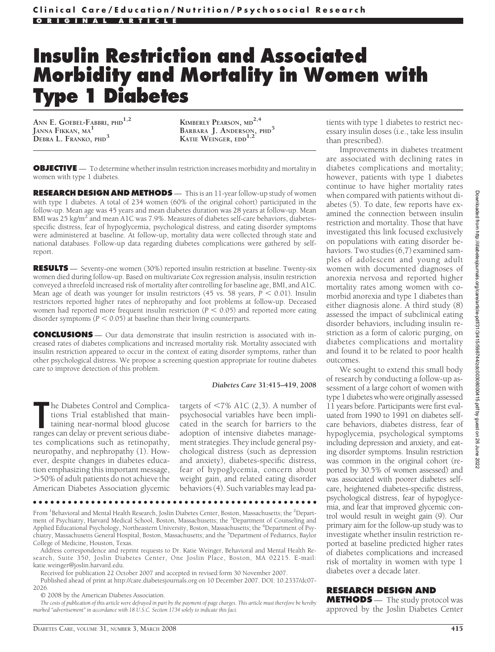# **Insulin Restriction and Associated Morbidity and Mortality in Women with Type 1 Diabetes**

**ANN E. GOEBEL-FABBRI, PHD1,2 JANNA FIKKAN, MA<sup>1</sup> DEBRA L. FRANKO, PHD<sup>3</sup>**

**KIMBERLY PEARSON, MD2,4 BARBARA J. ANDERSON, PHD<sup>5</sup> KATIE WEINGER, EDD1,2**

**OBJECTIVE** — To determine whether insulin restriction increases morbidity and mortality in women with type 1 diabetes.

**RESEARCH DESIGN AND METHODS** — This is an 11-year follow-up study of women with type 1 diabetes. A total of 234 women (60% of the original cohort) participated in the follow-up. Mean age was 45 years and mean diabetes duration was 28 years at follow-up. Mean BMI was  $25 \text{ kg/m}^2$  and mean A1C was 7.9%. Measures of diabetes self-care behaviors, diabetesspecific distress, fear of hypoglycemia, psychological distress, and eating disorder symptoms were administered at baseline. At follow-up, mortality data were collected through state and national databases. Follow-up data regarding diabetes complications were gathered by selfreport.

**RESULTS** — Seventy-one women (30%) reported insulin restriction at baseline. Twenty-six women died during follow-up. Based on multivariate Cox regression analysis, insulin restriction conveyed a threefold increased risk of mortality after controlling for baseline age, BMI, and A1C. Mean age of death was younger for insulin restrictors (45 vs. 58 years,  $P < 0.01$ ). Insulin restrictors reported higher rates of nephropathy and foot problems at follow-up. Deceased women had reported more frequent insulin restriction  $(P < 0.05)$  and reported more eating disorder symptoms ( $P < 0.05$ ) at baseline than their living counterparts.

**CONCLUSIONS** — Our data demonstrate that insulin restriction is associated with increased rates of diabetes complications and increased mortality risk. Mortality associated with insulin restriction appeared to occur in the context of eating disorder symptoms, rather than other psychological distress. We propose a screening question appropriate for routine diabetes care to improve detection of this problem.

#### *Diabetes Care* **31:415–419, 2008**

**The Diabetes Control and Complications Trial established that maintaining near-normal blood glucose ranges can delay or prevent serious diabe**he Diabetes Control and Complications Trial established that maintaining near-normal blood glucose tes complications such as retinopathy, neuropathy, and nephropathy (1). However, despite changes in diabetes education emphasizing this important message, -50% of adult patients do not achieve the American Diabetes Association glycemic

targets of  $\langle 7\% \text{ A1C } (2,3) \rangle$ . A number of psychosocial variables have been implicated in the search for barriers to the adoption of intensive diabetes management strategies. They include general psychological distress (such as depression and anxiety), diabetes-specific distress, fear of hypoglycemia, concern about weight gain, and related eating disorder behaviors (4). Such variables may lead pa-

●●●●●●●●●●●●●●●●●●●●●●●●●●●●●●●●●●●●●●●●●●●●●●●●●

From <sup>1</sup>Behavioral and Mental Health Research, Joslin Diabetes Center, Boston, Massachusetts; the <sup>2</sup>Department of Psychiatry, Harvard Medical School, Boston, Massachusetts; the <sup>3</sup>Department of Counseling and Applied Educational Psychology, Northeastern University, Boston, Massachusetts; the <sup>4</sup>Department of Psychiatry, Massachusetts General Hospital, Boston, Massachusetts; and the <sup>5</sup> Department of Pediatrics, Baylor College of Medicine, Houston, Texas.

Address correspondence and reprint requests to Dr. Katie Weinger, Behavioral and Mental Health Research, Suite 350, Joslin Diabetes Center, One Joslin Place, Boston, MA 02215. E-mail: katie.weinger@joslin.harvard.edu.

Received for publication 22 October 2007 and accepted in revised form 30 November 2007.

Published ahead of print at http://care.diabetesjournals.org on 10 December 2007. DOI: 10.2337/dc07- 2026.

© 2008 by the American Diabetes Association.

*The costs of publication of this article were defrayed in part by the payment of page charges. This article must therefore be hereby marked "advertisement" in accordance with 18 U.S.C. Section 1734 solely to indicate this fact.*

tients with type 1 diabetes to restrict necessary insulin doses (i.e., take less insulin than prescribed).

Improvements in diabetes treatment are associated with declining rates in diabetes complications and mortality; however, patients with type 1 diabetes continue to have higher mortality rates when compared with patients without diabetes (5). To date, few reports have examined the connection between insulin restriction and mortality. Those that have investigated this link focused exclusively on populations with eating disorder behaviors. Two studies (6,7) examined samples of adolescent and young adult women with documented diagnoses of anorexia nervosa and reported higher mortality rates among women with comorbid anorexia and type 1 diabetes than either diagnosis alone. A third study (8) assessed the impact of subclinical eating disorder behaviors, including insulin restriction as a form of caloric purging, on diabetes complications and mortality and found it to be related to poor health outcomes.

We sought to extend this small body of research by conducting a follow-up assessment of a large cohort of women with type 1 diabetes who were originally assessed 11 years before. Participants were first evaluated from 1990 to 1991 on diabetes selfcare behaviors, diabetes distress, fear of hypoglycemia, psychological symptoms including depression and anxiety, and eating disorder symptoms. Insulin restriction was common in the original cohort (reported by 30.5% of women assessed) and was associated with poorer diabetes selfcare, heightened diabetes-specific distress, psychological distress, fear of hypoglycemia, and fear that improved glycemic control would result in weight gain (9). Our primary aim for the follow-up study was to investigate whether insulin restriction reported at baseline predicted higher rates of diabetes complications and increased risk of mortality in women with type 1 diabetes over a decade later.

## **RESEARCH DESIGN AND**

**METHODS** — The study protocol was approved by the Joslin Diabetes Center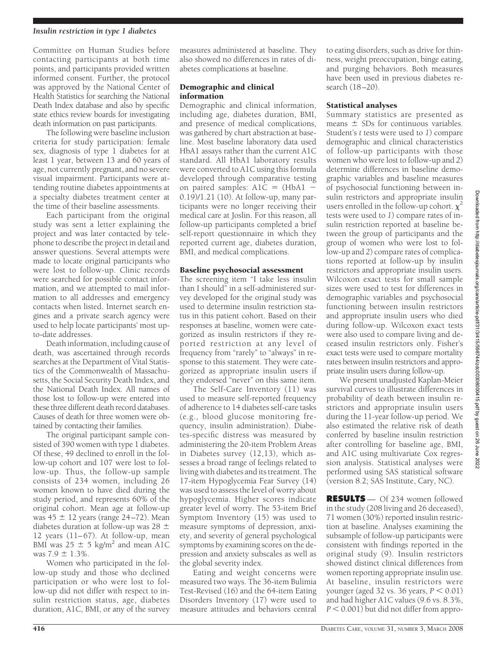#### *Insulin restriction in type 1 diabetes*

Committee on Human Studies before contacting participants at both time points, and participants provided written informed consent. Further, the protocol was approved by the National Center of Health Statistics for searching the National Death Index database and also by specific state ethics review boards for investigating death information on past participants.

The following were baseline inclusion criteria for study participation: female sex, diagnosis of type 1 diabetes for at least 1 year, between 13 and 60 years of age, not currently pregnant, and no severe visual impairment. Participants were attending routine diabetes appointments at a specialty diabetes treatment center at the time of their baseline assessments.

Each participant from the original study was sent a letter explaining the project and was later contacted by telephone to describe the project in detail and answer questions. Several attempts were made to locate original participants who were lost to follow-up. Clinic records were searched for possible contact information, and we attempted to mail information to all addresses and emergency contacts when listed. Internet search engines and a private search agency were used to help locate participants' most upto-date addresses.

Death information, including cause of death, was ascertained through records searches at the Department of Vital Statistics of the Commonwealth of Massachusetts, the Social Security Death Index, and the National Death Index. All names of those lost to follow-up were entered into these three different death record databases. Causes of death for three women were obtained by contacting their families.

The original participant sample consisted of 390 women with type 1 diabetes. Of these, 49 declined to enroll in the follow-up cohort and 107 were lost to follow-up. Thus, the follow-up sample consists of 234 women, including 26 women known to have died during the study period, and represents 60% of the original cohort. Mean age at follow-up was  $45 \pm 12$  years (range 24–72). Mean diabetes duration at follow-up was  $28 \pm$ 12 years (11–67). At follow-up, mean BMI was  $25 \pm 5$  kg/m<sup>2</sup> and mean A1C was  $7.9 \pm 1.3\%$ .

Women who participated in the follow-up study and those who declined participation or who were lost to follow-up did not differ with respect to insulin restriction status, age, diabetes duration, A1C, BMI, or any of the survey

measures administered at baseline. They also showed no differences in rates of diabetes complications at baseline.

#### Demographic and clinical information

Demographic and clinical information, including age, diabetes duration, BMI, and presence of medical complications, was gathered by chart abstraction at baseline. Most baseline laboratory data used HbA1 assays rather than the current A1C standard. All HbA1 laboratory results were converted to A1C using this formula developed through comparative testing on paired samples:  $A1C = (HbA1 -$ 0.19)/1.21 (10). At follow-up, many participants were no longer receiving their medical care at Joslin. For this reason, all follow-up participants completed a brief self-report questionnaire in which they reported current age, diabetes duration, BMI, and medical complications.

#### Baseline psychosocial assessment

The screening item "I take less insulin than I should" in a self-administered survey developed for the original study was used to determine insulin restriction status in this patient cohort. Based on their responses at baseline, women were categorized as insulin restrictors if they reported restriction at any level of frequency from "rarely" to "always" in response to this statement. They were categorized as appropriate insulin users if they endorsed "never" on this same item.

The Self-Care Inventory (11) was used to measure self-reported frequency of adherence to 14 diabetes self-care tasks (e.g., blood glucose monitoring frequency, insulin administration). Diabetes-specific distress was measured by administering the 20-item Problem Areas in Diabetes survey (12,13), which assesses a broad range of feelings related to living with diabetes and its treatment. The 17-item Hypoglycemia Fear Survey (14) was used to assess the level of worry about hypoglycemia. Higher scores indicate greater level of worry. The 53-item Brief Symptom Inventory (15) was used to measure symptoms of depression, anxiety, and severity of general psychological symptoms by examining scores on the depression and anxiety subscales as well as the global severity index.

Eating and weight concerns were measured two ways. The 36-item Bulimia Test-Revised (16) and the 64-item Eating Disorders Inventory (17) were used to measure attitudes and behaviors central

to eating disorders, such as drive for thinness, weight preoccupation, binge eating, and purging behaviors. Both measures have been used in previous diabetes research (18–20).

### Statistical analyses

Summary statistics are presented as means  $\pm$  SDs for continuous variables. Student's *t* tests were used to *1*) compare demographic and clinical characteristics of follow-up participants with those women who were lost to follow-up and *2*) determine differences in baseline demographic variables and baseline measures of psychosocial functioning between insulin restrictors and appropriate insulin users enrolled in the follow-up cohort.  $\chi^2$ tests were used to *1*) compare rates of insulin restriction reported at baseline between the group of participants and the group of women who were lost to follow-up and *2*) compare rates of complications reported at follow-up by insulin restrictors and appropriate insulin users. Wilcoxon exact tests for small sample sizes were used to test for differences in demographic variables and psychosocial functioning between insulin restrictors and appropriate insulin users who died during follow-up. Wilcoxon exact tests were also used to compare living and deceased insulin restrictors only. Fisher's exact tests were used to compare mortality rates between insulin restrictors and appropriate insulin users during follow-up.

We present unadjusted Kaplan-Meier survival curves to illustrate differences in probability of death between insulin restrictors and appropriate insulin users during the 11-year follow-up period. We also estimated the relative risk of death conferred by baseline insulin restriction after controlling for baseline age, BMI, and A1C using multivariate Cox regression analysis. Statistical analyses were performed using SAS statistical software (version 8.2; SAS Institute, Cary, NC).

**RESULTS** — Of 234 women followed in the study (208 living and 26 deceased), 71 women (30%) reported insulin restriction at baseline. Analyses examining the subsample of follow-up participants were consistent with findings reported in the original study (9). Insulin restrictors showed distinct clinical differences from women reporting appropriate insulin use. At baseline, insulin restrictors were younger (aged 32 vs. 36 years,  $P < 0.01$ ) and had higher A1C values (9.6 vs. 8.3%,  $P \leq 0.001$ ) but did not differ from appro-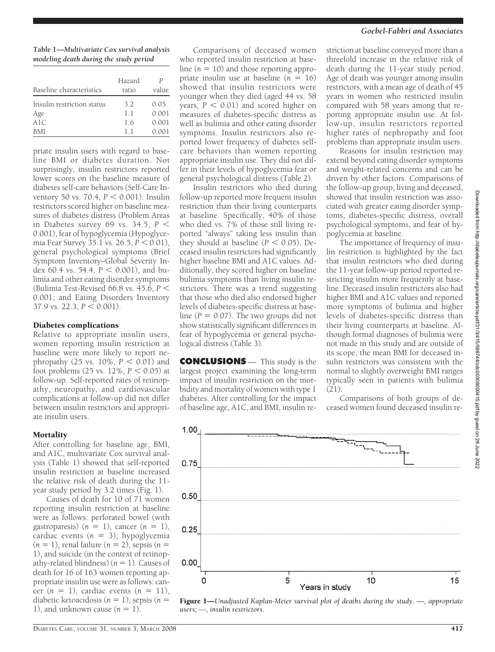# *Goebel-Fabbri and Associates*

**Table 1—***Multivariate Cox survival analysis modeling death during the study period*

| Hazard<br>ratio | Р<br>value |
|-----------------|------------|
| 3.2             | 0.05       |
| 1.1             | 0.001      |
| 1.6             | 0.001      |
| 11              | 0.001      |
|                 |            |

priate insulin users with regard to baseline BMI or diabetes duration. Not surprisingly, insulin restrictors reported lower scores on the baseline measure of diabetes self-care behaviors (Self-Care Inventory 50 vs. 70.4,  $P < 0.001$ ). Insulin restrictors scored higher on baseline measures of diabetes distress (Problem Areas in Diabetes survey 69 vs. 34.5, *P* 0.001), fear of hypoglycemia (Hypoglycemia Fear Survey 35.1 vs.  $26.5$ ,  $P < 0.01$ ), general psychological symptoms (Brief Symptom Inventory–Global Severity Index 60.4 vs. 54.4,  $P < 0.001$ ), and bulimia and other eating disorder symptoms (Bulimia Test-Revised 66.8 vs. 45.6, *P* 0.001; and Eating Disorders Inventory  $37.9$  vs. 22.3,  $P \le 0.001$ ).

#### Diabetes complications

Relative to appropriate insulin users, women reporting insulin restriction at baseline were more likely to report nephropathy (25 vs.  $10\%$ ,  $P < 0.01$ ) and foot problems  $(25 \text{ vs. } 12\%, P < 0.05)$  at follow-up. Self-reported rates of retinopathy, neuropathy, and cardiovascular complications at follow-up did not differ between insulin restrictors and appropriate insulin users.

#### **Mortality**

After controlling for baseline age, BMI, and A1C, multivariate Cox survival analysis (Table 1) showed that self-reported insulin restriction at baseline increased the relative risk of death during the 11 year study period by 3.2 times (Fig. 1).

Causes of death for 10 of 71 women reporting insulin restriction at baseline were as follows: perforated bowel (with gastroparesis)  $(n = 1)$ , cancer  $(n = 1)$ , cardiac events  $(n = 3)$ , hypoglycemia  $(n = 1)$ , renal failure  $(n = 2)$ , sepsis  $(n = 1)$ 1), and suicide (in the context of retinopathy-related blindness)  $(n = 1)$ . Causes of death for 16 of 163 women reporting appropriate insulin use were as follows: cancer  $(n = 1)$ , cardiac events  $(n = 11)$ , diabetic ketoacidosis  $(n = 1)$ , sepsis  $(n = 1)$ 1), and unknown cause  $(n = 1)$ .

Comparisons of deceased women who reported insulin restriction at baseline  $(n = 10)$  and those reporting appropriate insulin use at baseline  $(n = 16)$ showed that insulin restrictors were younger when they died (aged 44 vs. 58 years,  $P < 0.01$ ) and scored higher on measures of diabetes-specific distress as well as bulimia and other eating disorder symptoms. Insulin restrictors also reported lower frequency of diabetes selfcare behaviors than women reporting appropriate insulin use. They did not differ in their levels of hypoglycemia fear or general psychological distress (Table 2).

Insulin restrictors who died during follow-up reported more frequent insulin restriction than their living counterparts at baseline. Specifically, 40% of those who died vs. 7% of those still living reported "always" taking less insulin than they should at baseline  $(P < 0.05)$ . Deceased insulin restrictors had significantly higher baseline BMI and A1C values. Additionally, they scored higher on baseline bulimia symptoms than living insulin restrictors. There was a trend suggesting that those who died also endorsed higher levels of diabetes-specific distress at baseline ( $P = 0.07$ ). The two groups did not show statistically significant differences in fear of hypoglycemia or general psychological distress (Table 3).

**CONCLUSIONS** — This study is the largest project examining the long-term impact of insulin restriction on the morbidity and mortality of women with type 1 diabetes. After controlling for the impact of baseline age, A1C, and BMI, insulin restriction at baseline conveyed more than a threefold increase in the relative risk of death during the 11-year study period. Age of death was younger among insulin restrictors, with a mean age of death of 45 years in women who restricted insulin compared with 58 years among that reporting appropriate insulin use. At follow-up, insulin restrictors reported higher rates of nephropathy and foot problems than appropriate insulin users.

Reasons for insulin restriction may extend beyond eating disorder symptoms and weight-related concerns and can be driven by other factors. Comparisons of the follow-up group, living and deceased, showed that insulin restriction was associated with greater eating disorder symptoms, diabetes-specific distress, overall psychological symptoms, and fear of hypoglycemia at baseline.

The importance of frequency of insulin restriction is highlighted by the fact that insulin restrictors who died during the 11-year follow-up period reported restricting insulin more frequently at baseline. Deceased insulin restrictors also had higher BMI and A1C values and reported more symptoms of bulimia and higher levels of diabetes-specific distress than their living counterparts at baseline. Although formal diagnoses of bulimia were not made in this study and are outside of its scope, the mean BMI for deceased insulin restrictors was consistent with the normal to slightly overweight BMI ranges typically seen in patients with bulimia  $(21)$ .

Comparisons of both groups of deceased women found deceased insulin re-



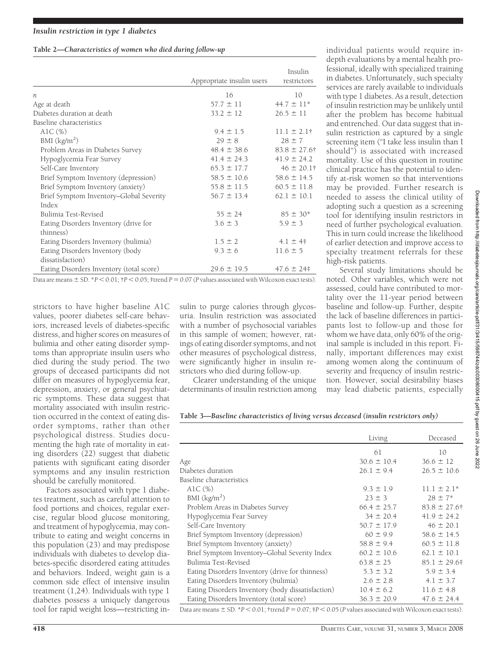## **Table 2—***Characteristics of women who died during follow-up*

|                                          | Appropriate insulin users | Insulin<br>restrictors |
|------------------------------------------|---------------------------|------------------------|
| $\boldsymbol{n}$                         | 16                        | 10                     |
| Age at death                             | $57.7 \pm 11$             | $44.7 \pm 11*$         |
| Diabetes duration at death               | $33.2 \pm 12$             | $26.5 \pm 11$          |
| Baseline characteristics                 |                           |                        |
| AlC $(\%)$                               | $9.4 \pm 1.5$             | $11.1 \pm 2.1$ †       |
| BMI $(kg/m2)$                            | $29 \pm 8$                | $28 \pm 7$             |
| Problem Areas in Diabetes Survey         | $48.4 \pm 38.6$           | $83.8 \pm 27.6$ †      |
| Hypoglycemia Fear Survey                 | $41.4 \pm 24.3$           | $41.9 \pm 24.2$        |
| Self-Care Inventory                      | $65.3 \pm 17.7$           | $46 \pm 20.1$ †        |
| Brief Symptom Inventory (depression)     | $58.5 \pm 10.6$           | $58.6 \pm 14.5$        |
| Brief Symptom Inventory (anxiety)        | $55.8 \pm 11.5$           | $60.5 \pm 11.8$        |
| Brief Symptom Inventory-Global Severity  | $56.7 \pm 13.4$           | $62.1 \pm 10.1$        |
| Index                                    |                           |                        |
| Bulimia Test-Revised                     | $55 \pm 24$               | $85 \pm 30*$           |
| Eating Disorders Inventory (drive for    | $3.6 \pm 3$               | $5.9 \pm 3$            |
| thinness)                                |                           |                        |
| Eating Disorders Inventory (bulimia)     | $1.5 \pm 2$               | $4.1 \pm 4$            |
| Eating Disorders Inventory (body         | $9.3 \pm 6$               | $11.6 \pm 5$           |
| dissatisfaction)                         |                           |                        |
| Eating Disorders Inventory (total score) | $29.6 \pm 19.5$           | $47.6 \pm 24$          |

Data are means  $\pm$  SD.  $*P$  < 0.01;  $\uparrow$  *P* < 0.05;  $\uparrow$  trend *P* = 0.07 (*P* values associated with Wilcoxon exact tests).

strictors to have higher baseline A1C values, poorer diabetes self-care behaviors, increased levels of diabetes-specific distress, and higher scores on measures of bulimia and other eating disorder symptoms than appropriate insulin users who died during the study period. The two groups of deceased participants did not differ on measures of hypoglycemia fear, depression, anxiety, or general psychiatric symptoms. These data suggest that mortality associated with insulin restriction occurred in the context of eating disorder symptoms, rather than other psychological distress. Studies documenting the high rate of mortality in eating disorders (22) suggest that diabetic patients with significant eating disorder symptoms and any insulin restriction should be carefully monitored.

Factors associated with type 1 diabetes treatment, such as careful attention to food portions and choices, regular exercise, regular blood glucose monitoring, and treatment of hypoglycemia, may contribute to eating and weight concerns in this population (23) and may predispose individuals with diabetes to develop diabetes-specific disordered eating attitudes and behaviors. Indeed, weight gain is a common side effect of intensive insulin treatment (1,24). Individuals with type 1 diabetes possess a uniquely dangerous tool for rapid weight loss—restricting in-

sulin to purge calories through glycosuria. Insulin restriction was associated with a number of psychosocial variables in this sample of women; however, ratings of eating disorder symptoms, and not other measures of psychological distress, were significantly higher in insulin restrictors who died during follow-up.

Clearer understanding of the unique determinants of insulin restriction among

individual patients would require indepth evaluations by a mental health professional, ideally with specialized training in diabetes. Unfortunately, such specialty services are rarely available to individuals with type 1 diabetes. As a result, detection of insulin restriction may be unlikely until after the problem has become habitual and entrenched. Our data suggest that insulin restriction as captured by a single screening item ("I take less insulin than I should") is associated with increased mortality. Use of this question in routine clinical practice has the potential to identify at-risk women so that interventions may be provided. Further research is needed to assess the clinical utility of adopting such a question as a screening tool for identifying insulin restrictors in need of further psychological evaluation. This in turn could increase the likelihood of earlier detection and improve access to specialty treatment referrals for these high-risk patients.

Several study limitations should be noted. Other variables, which were not assessed, could have contributed to mortality over the 11-year period between baseline and follow-up. Further, despite the lack of baseline differences in participants lost to follow-up and those for whom we have data, only 60% of the original sample is included in this report. Finally, important differences may exist among women along the continuum of severity and frequency of insulin restriction. However, social desirability biases may lead diabetic patients, especially

|                                                   | Living            | Deceased          |
|---------------------------------------------------|-------------------|-------------------|
|                                                   | 61                | 10                |
| Age                                               | $30.6 \pm 10.4$   | $36.6 \pm 12$     |
| Diabetes duration                                 | $26.1 \pm 9.4$    | $26.5 \pm 10.6$   |
| Baseline characteristics                          |                   |                   |
| AlC $(\%)$                                        | $9.3 \pm 1.9$     | $11.1 \pm 2.1*$   |
| BMI $(kg/m2)$                                     | $23 \pm 3$        | $28 \pm 7^*$      |
| Problem Areas in Diabetes Survey                  | $66.4 \pm 25.7$   | $83.8 \pm 27.6$ † |
| Hypoglycemia Fear Survey                          | $34 \pm 20.4$     | $41.9 \pm 24.2$   |
| Self-Care Inventory                               | $50.7 \pm 17.9$   | $46 \pm 20.1$     |
| Brief Symptom Inventory (depression)              | $60 \pm 9.9$      | $58.6 \pm 14.5$   |
| Brief Symptom Inventory (anxiety)                 | $58.8 \pm 9.4$    | $60.5 \pm 11.8$   |
| Brief Symptom Inventory-Global Severity Index     | $60.2 \pm 10.6$   | $62.1 \pm 10.1$   |
| Bulimia Test-Revised                              | $63.8 \pm 25$     | $85.1 \pm 29.6$ # |
| Eating Disorders Inventory (drive for thinness)   | $5.3 \pm 3.2$     | $5.9 \pm 3.4$     |
| Eating Disorders Inventory (bulimia)              | $2.6 \pm 2.8$     | $4.1 \pm 3.7$     |
| Eating Disorders Inventory (body dissatisfaction) | $10.4 \pm 6.2$    | $11.6 \pm 4.8$    |
| Eating Disorders Inventory (total score)          | $36.3 \pm 20.9$   | $47.6 \pm 24.4$   |
| an control the only in control                    | $\cdots$ $\cdots$ |                   |

Data are means  $\pm$  SD.  $*P$  < 0.01;  $\pm$ trend *P* = 0.07;  $\pm$ *P* < 0.05 (*P* values associated with Wilcoxon exact tests).